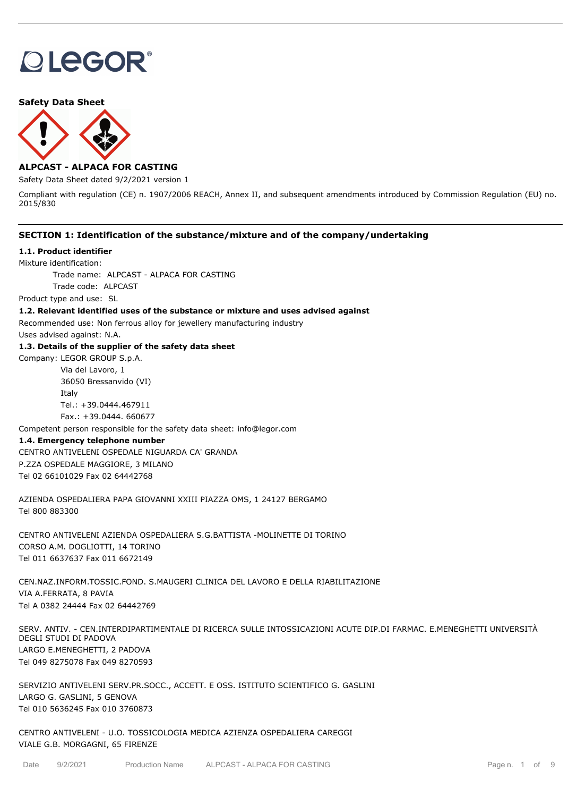# **OLEGOR®**

## **Safety Data Sheet**



# **ALPCAST - ALPACA FOR CASTING**

Safety Data Sheet dated 9/2/2021 version 1

Compliant with regulation (CE) n. 1907/2006 REACH, Annex II, and subsequent amendments introduced by Commission Regulation (EU) no. 2015/830

# **SECTION 1: Identification of the substance/mixture and of the company/undertaking**

#### **1.1. Product identifier**

Mixture identification:

Trade name: ALPCAST - ALPACA FOR CASTING Trade code: ALPCAST

Product type and use: SL

# **1.2. Relevant identified uses of the substance or mixture and uses advised against**

Recommended use: Non ferrous alloy for jewellery manufacturing industry

Uses advised against: N.A.

#### **1.3. Details of the supplier of the safety data sheet**

Company: LEGOR GROUP S.p.A. Via del Lavoro, 1 36050 Bressanvido (VI) Italy Tel.: +39.0444.467911

Fax.: +39.0444. 660677

Competent person responsible for the safety data sheet: info@legor.com

#### **1.4. Emergency telephone number**

CENTRO ANTIVELENI OSPEDALE NIGUARDA CA' GRANDA P.ZZA OSPEDALE MAGGIORE, 3 MILANO Tel 02 66101029 Fax 02 64442768

AZIENDA OSPEDALIERA PAPA GIOVANNI XXIII PIAZZA OMS, 1 24127 BERGAMO Tel 800 883300

CENTRO ANTIVELENI AZIENDA OSPEDALIERA S.G.BATTISTA -MOLINETTE DI TORINO CORSO A.M. DOGLIOTTI, 14 TORINO Tel 011 6637637 Fax 011 6672149

CEN.NAZ.INFORM.TOSSIC.FOND. S.MAUGERI CLINICA DEL LAVORO E DELLA RIABILITAZIONE VIA A.FERRATA, 8 PAVIA Tel A 0382 24444 Fax 02 64442769

SERV. ANTIV. - CEN.INTERDIPARTIMENTALE DI RICERCA SULLE INTOSSICAZIONI ACUTE DIP.DI FARMAC. E.MENEGHETTI UNIVERSITÀ DEGLI STUDI DI PADOVA LARGO E.MENEGHETTI, 2 PADOVA Tel 049 8275078 Fax 049 8270593

SERVIZIO ANTIVELENI SERV.PR.SOCC., ACCETT. E OSS. ISTITUTO SCIENTIFICO G. GASLINI LARGO G. GASLINI, 5 GENOVA Tel 010 5636245 Fax 010 3760873

CENTRO ANTIVELENI - U.O. TOSSICOLOGIA MEDICA AZIENZA OSPEDALIERA CAREGGI VIALE G.B. MORGAGNI, 65 FIRENZE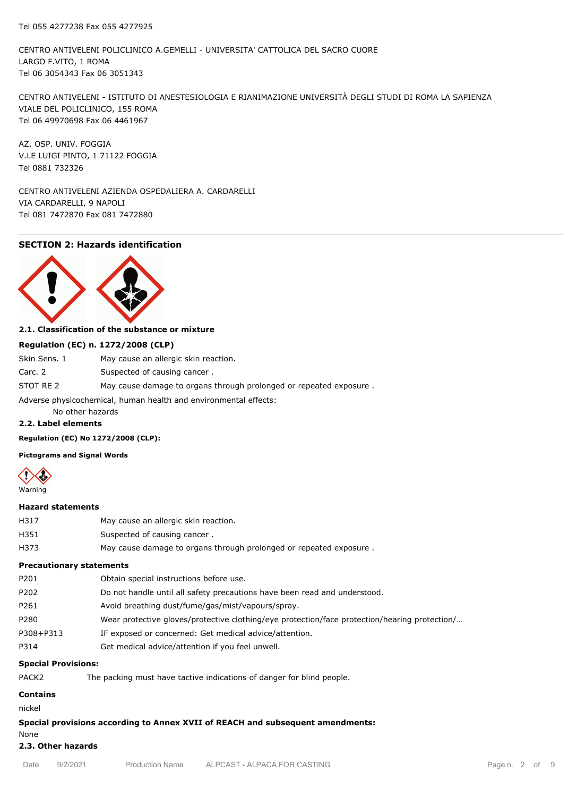CENTRO ANTIVELENI POLICLINICO A.GEMELLI - UNIVERSITA' CATTOLICA DEL SACRO CUORE LARGO F.VITO, 1 ROMA Tel 06 3054343 Fax 06 3051343

CENTRO ANTIVELENI - ISTITUTO DI ANESTESIOLOGIA E RIANIMAZIONE UNIVERSITÀ DEGLI STUDI DI ROMA LA SAPIENZA VIALE DEL POLICLINICO, 155 ROMA Tel 06 49970698 Fax 06 4461967

AZ. OSP. UNIV. FOGGIA V.LE LUIGI PINTO, 1 71122 FOGGIA Tel 0881 732326

CENTRO ANTIVELENI AZIENDA OSPEDALIERA A. CARDARELLI VIA CARDARELLI, 9 NAPOLI Tel 081 7472870 Fax 081 7472880

# **SECTION 2: Hazards identification**



# **2.1. Classification of the substance or mixture**

#### **Regulation (EC) n. 1272/2008 (CLP)**

| Skin Sens. 1                                                     | May cause an allergic skin reaction.                               |  |  |  |
|------------------------------------------------------------------|--------------------------------------------------------------------|--|--|--|
| Carc. 2                                                          | Suspected of causing cancer.                                       |  |  |  |
| STOT RE 2                                                        | May cause damage to organs through prolonged or repeated exposure. |  |  |  |
| Adverse physicochemical, human health and environmental effects: |                                                                    |  |  |  |

No other hazards

#### **2.2. Label elements**

**Regulation (EC) No 1272/2008 (CLP):**

**Pictograms and Signal Words**



#### **Hazard statements**

| H317 | May cause an allergic skin reaction.                               |
|------|--------------------------------------------------------------------|
| H351 | Suspected of causing cancer.                                       |
| H373 | May cause damage to organs through prolonged or repeated exposure. |

#### **Precautionary statements**

| P201      | Obtain special instructions before use.                                                       |
|-----------|-----------------------------------------------------------------------------------------------|
| P202      | Do not handle until all safety precautions have been read and understood.                     |
| P261      | Avoid breathing dust/fume/gas/mist/vapours/spray.                                             |
| P280      | Wear protective gloves/protective clothing/eye protection/face protection/hearing protection/ |
| P308+P313 | IF exposed or concerned: Get medical advice/attention.                                        |
| P314      | Get medical advice/attention if you feel unwell.                                              |
|           |                                                                                               |

## **Special Provisions:**

| PACK <sub>2</sub> | The packing must have tactive indications of danger for blind people. |
|-------------------|-----------------------------------------------------------------------|
|-------------------|-----------------------------------------------------------------------|

# **Contains**

nickel

# **Special provisions according to Annex XVII of REACH and subsequent amendments:**

# None

# **2.3. Other hazards**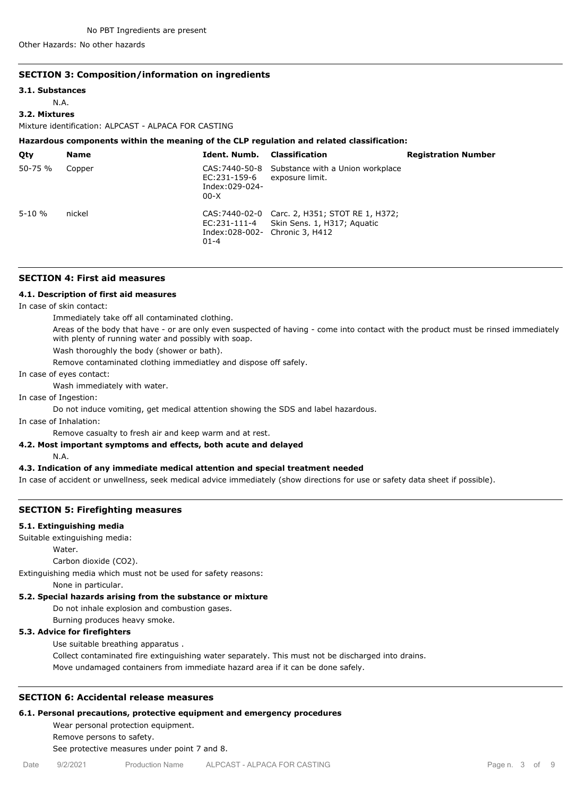Other Hazards: No other hazards

#### **SECTION 3: Composition/information on ingredients**

#### **3.1. Substances**

N.A.

# **3.2. Mixtures**

Mixture identification: ALPCAST - ALPACA FOR CASTING

#### **Hazardous components within the meaning of the CLP regulation and related classification:**

| Qty         | <b>Name</b> | <b>Ident. Numb.</b> Classification         |                                                                                            | <b>Registration Number</b> |
|-------------|-------------|--------------------------------------------|--------------------------------------------------------------------------------------------|----------------------------|
| $50 - 75 %$ | Copper      | EC:231-159-6<br>Index:029-024-<br>$00-X$   | CAS: 7440-50-8 Substance with a Union workplace<br>exposure limit.                         |                            |
| $5 - 10 \%$ | nickel      | Index:028-002- Chronic 3, H412<br>$01 - 4$ | CAS: 7440-02-0 Carc. 2, H351; STOT RE 1, H372;<br>EC:231-111-4 Skin Sens. 1, H317; Aguatic |                            |

# **SECTION 4: First aid measures**

#### **4.1. Description of first aid measures**

In case of skin contact:

Immediately take off all contaminated clothing.

Areas of the body that have - or are only even suspected of having - come into contact with the product must be rinsed immediately with plenty of running water and possibly with soap.

Wash thoroughly the body (shower or bath).

Remove contaminated clothing immediatley and dispose off safely.

#### In case of eyes contact:

Wash immediately with water.

In case of Ingestion:

Do not induce vomiting, get medical attention showing the SDS and label hazardous.

In case of Inhalation:

Remove casualty to fresh air and keep warm and at rest.

#### **4.2. Most important symptoms and effects, both acute and delayed**

N.A.

#### **4.3. Indication of any immediate medical attention and special treatment needed**

In case of accident or unwellness, seek medical advice immediately (show directions for use or safety data sheet if possible).

#### **SECTION 5: Firefighting measures**

#### **5.1. Extinguishing media**

Suitable extinguishing media:

Water.

Carbon dioxide (CO2).

Extinguishing media which must not be used for safety reasons:

None in particular.

#### **5.2. Special hazards arising from the substance or mixture**

Do not inhale explosion and combustion gases.

Burning produces heavy smoke.

# **5.3. Advice for firefighters**

Use suitable breathing apparatus .

Collect contaminated fire extinguishing water separately. This must not be discharged into drains. Move undamaged containers from immediate hazard area if it can be done safely.

## **SECTION 6: Accidental release measures**

#### **6.1. Personal precautions, protective equipment and emergency procedures**

Wear personal protection equipment. Remove persons to safety. See protective measures under point 7 and 8.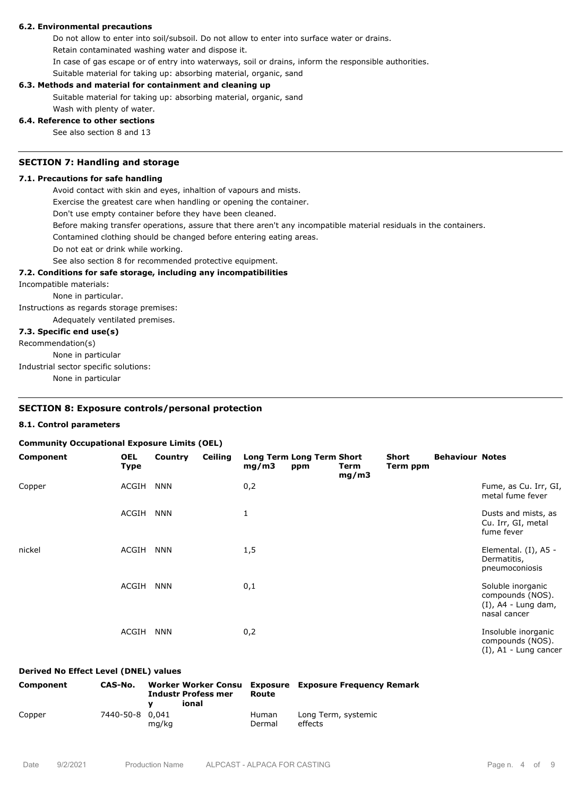# **6.2. Environmental precautions**

Do not allow to enter into soil/subsoil. Do not allow to enter into surface water or drains. Retain contaminated washing water and dispose it.

In case of gas escape or of entry into waterways, soil or drains, inform the responsible authorities.

Suitable material for taking up: absorbing material, organic, sand

## **6.3. Methods and material for containment and cleaning up**

Suitable material for taking up: absorbing material, organic, sand Wash with plenty of water.

#### **6.4. Reference to other sections**

See also section 8 and 13

#### **SECTION 7: Handling and storage**

#### **7.1. Precautions for safe handling**

Avoid contact with skin and eyes, inhaltion of vapours and mists.

Exercise the greatest care when handling or opening the container.

Don't use empty container before they have been cleaned.

Before making transfer operations, assure that there aren't any incompatible material residuals in the containers.

Contamined clothing should be changed before entering eating areas.

Do not eat or drink while working.

See also section 8 for recommended protective equipment.

#### **7.2. Conditions for safe storage, including any incompatibilities**

Incompatible materials:

None in particular.

Instructions as regards storage premises: Adequately ventilated premises.

# **7.3. Specific end use(s)**

Recommendation(s)

None in particular

Industrial sector specific solutions:

None in particular

#### **SECTION 8: Exposure controls/personal protection**

#### **8.1. Control parameters**

#### **Community Occupational Exposure Limits (OEL)**

| Component | <b>OEL</b><br><b>Type</b> | Country    | <b>Ceiling</b> | mg/m3 | <b>Long Term Long Term Short</b><br>ppm | Term<br>mg/m3 | Short<br>Term ppm | <b>Behaviour Notes</b> |                                                                                 |
|-----------|---------------------------|------------|----------------|-------|-----------------------------------------|---------------|-------------------|------------------------|---------------------------------------------------------------------------------|
| Copper    | ACGIH                     | <b>NNN</b> |                | 0,2   |                                         |               |                   |                        | Fume, as Cu. Irr, GI,<br>metal fume fever                                       |
|           | ACGIH                     | <b>NNN</b> |                | 1     |                                         |               |                   |                        | Dusts and mists, as<br>Cu. Irr, GI, metal<br>fume fever                         |
| nickel    | ACGIH                     | <b>NNN</b> |                | 1,5   |                                         |               |                   |                        | Elemental. (I), A5 -<br>Dermatitis,<br>pneumoconiosis                           |
|           | ACGIH                     | <b>NNN</b> |                | 0,1   |                                         |               |                   |                        | Soluble inorganic<br>compounds (NOS).<br>$(I)$ , A4 - Lung dam,<br>nasal cancer |
|           | ACGIH                     | <b>NNN</b> |                | 0,2   |                                         |               |                   |                        | Insoluble inorganic<br>compounds (NOS).                                         |

#### **Derived No Effect Level (DNEL) values**

| Component | CAS-No.         | <b>Worker Worker Consu</b><br><b>Industr Profess mer</b><br>ional | Route                  | <b>Exposure</b> Exposure Frequency Remark |
|-----------|-----------------|-------------------------------------------------------------------|------------------------|-------------------------------------------|
| Copper    | 7440-50-8 0,041 | mg/kg                                                             | <b>Human</b><br>Dermal | Long Term, systemic<br>effects            |

(I), A1 - Lung cancer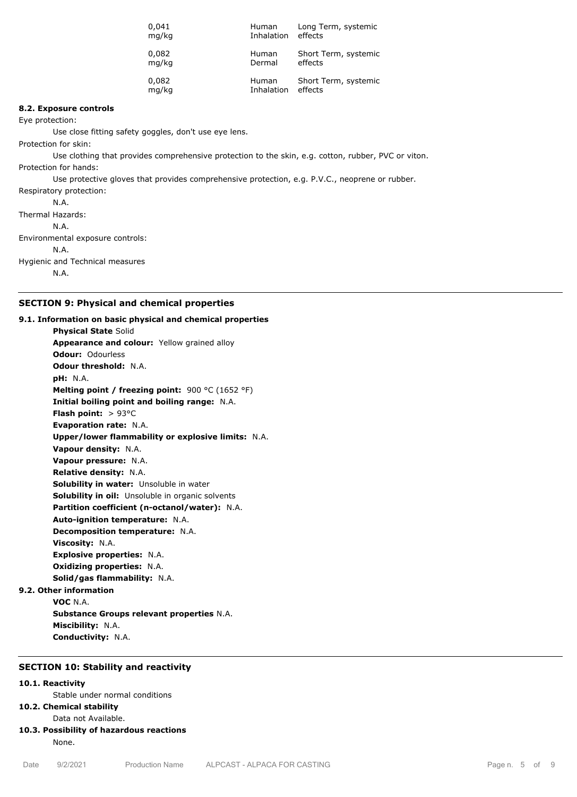| 0,041 | Human      | Long Term, systemic  |
|-------|------------|----------------------|
| mg/kg | Inhalation | effects              |
| 0,082 | Human      | Short Term, systemic |
| mg/kg | Dermal     | effects              |
| 0,082 | Human      | Short Term, systemic |
| mg/kg | Inhalation | effects              |

#### **8.2. Exposure controls**

Eye protection:

Use close fitting safety goggles, don't use eye lens.

Protection for skin:

Use clothing that provides comprehensive protection to the skin, e.g. cotton, rubber, PVC or viton. Protection for hands:

Use protective gloves that provides comprehensive protection, e.g. P.V.C., neoprene or rubber.

Respiratory protection:

N.A. Thermal Hazards: N.A. Environmental exposure controls: N.A. Hygienic and Technical measures N.A.

# **SECTION 9: Physical and chemical properties**

#### **9.1. Information on basic physical and chemical properties**

**Physical State** Solid **Appearance and colour:** Yellow grained alloy **Odour:** Odourless **Odour threshold:** N.A. **pH:** N.A. **Melting point / freezing point:** 900 °C (1652 °F) **Initial boiling point and boiling range:** N.A. **Flash point:** > 93°C **Evaporation rate:** N.A. **Upper/lower flammability or explosive limits:** N.A. **Vapour density:** N.A. **Vapour pressure:** N.A. **Relative density:** N.A. **Solubility in water:** Unsoluble in water **Solubility in oil:** Unsoluble in organic solvents **Partition coefficient (n-octanol/water):** N.A. **Auto-ignition temperature:** N.A. **Decomposition temperature:** N.A. **Viscosity:** N.A. **Explosive properties:** N.A. **Oxidizing properties:** N.A. **Solid/gas flammability:** N.A. **9.2. Other information**

**VOC** N.A. **Substance Groups relevant properties** N.A. **Miscibility:** N.A. **Conductivity:** N.A.

# **SECTION 10: Stability and reactivity**

## **10.1. Reactivity**

Stable under normal conditions

# **10.2. Chemical stability**

Data not Available.

# **10.3. Possibility of hazardous reactions**

None.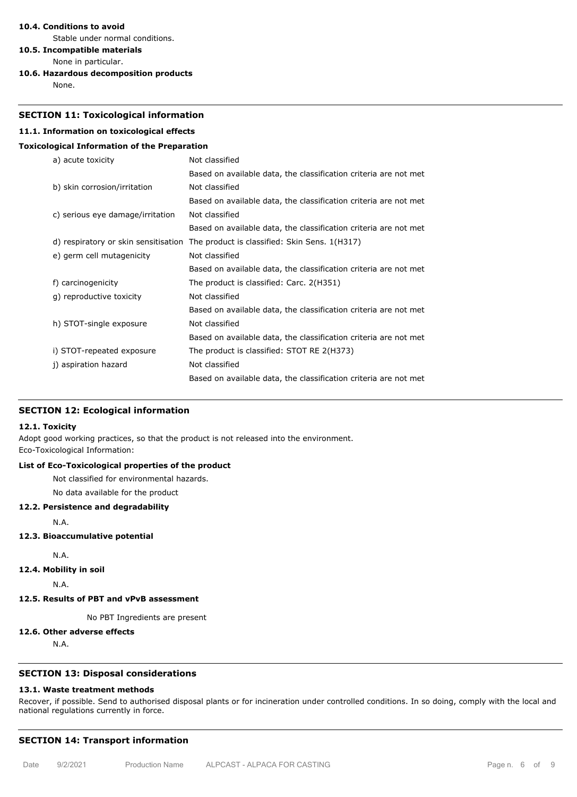## **10.4. Conditions to avoid**

Stable under normal conditions.

**10.5. Incompatible materials**

- None in particular.
- **10.6. Hazardous decomposition products**

None.

# **SECTION 11: Toxicological information**

# **11.1. Information on toxicological effects**

# **Toxicological Information of the Preparation**

| a) acute toxicity                    | Not classified                                                   |
|--------------------------------------|------------------------------------------------------------------|
|                                      | Based on available data, the classification criteria are not met |
| b) skin corrosion/irritation         | Not classified                                                   |
|                                      | Based on available data, the classification criteria are not met |
| c) serious eye damage/irritation     | Not classified                                                   |
|                                      | Based on available data, the classification criteria are not met |
| d) respiratory or skin sensitisation | The product is classified: Skin Sens. 1(H317)                    |
| e) germ cell mutagenicity            | Not classified                                                   |
|                                      | Based on available data, the classification criteria are not met |
| f) carcinogenicity                   | The product is classified: Carc. 2(H351)                         |
| g) reproductive toxicity             | Not classified                                                   |
|                                      | Based on available data, the classification criteria are not met |
| h) STOT-single exposure              | Not classified                                                   |
|                                      | Based on available data, the classification criteria are not met |
| i) STOT-repeated exposure            | The product is classified: STOT RE 2(H373)                       |
| j) aspiration hazard                 | Not classified                                                   |
|                                      | Based on available data, the classification criteria are not met |

## **SECTION 12: Ecological information**

#### **12.1. Toxicity**

Adopt good working practices, so that the product is not released into the environment. Eco-Toxicological Information:

# **List of Eco-Toxicological properties of the product**

Not classified for environmental hazards.

No data available for the product

## **12.2. Persistence and degradability**

N.A.

#### **12.3. Bioaccumulative potential**

N.A.

**12.4. Mobility in soil**

N.A.

# **12.5. Results of PBT and vPvB assessment**

No PBT Ingredients are present

# **12.6. Other adverse effects**

N.A.

# **SECTION 13: Disposal considerations**

# **13.1. Waste treatment methods**

Recover, if possible. Send to authorised disposal plants or for incineration under controlled conditions. In so doing, comply with the local and national regulations currently in force.

# **SECTION 14: Transport information**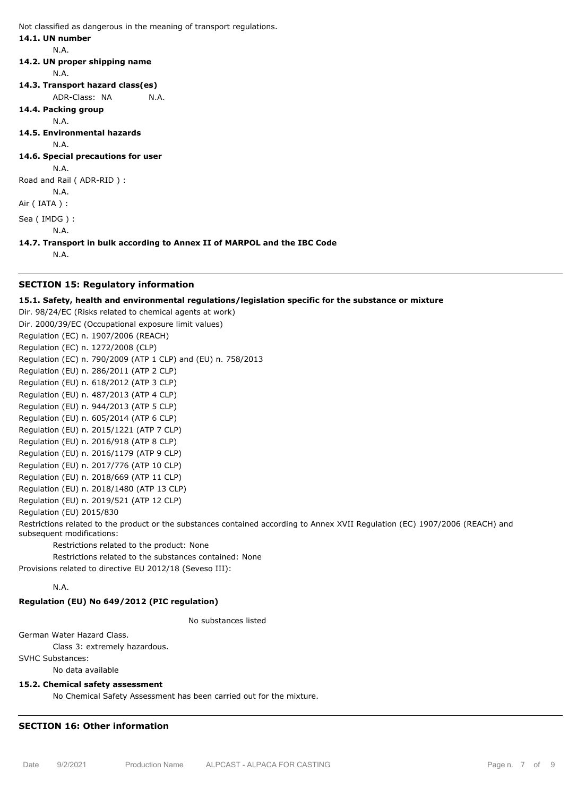Not classified as dangerous in the meaning of transport regulations.

## **14.1. UN number**

N.A.

#### **14.2. UN proper shipping name**

N.A.

- **14.3. Transport hazard class(es)**
	- ADR-Class: NA N.A.
- **14.4. Packing group**

N.A.

**14.5. Environmental hazards**

N.A.

**14.6. Special precautions for user**

N.A. Road and Rail ( ADR-RID ) :

N.A.

Air ( IATA ) :

Sea ( IMDG ) :

**14.7. Transport in bulk according to Annex II of MARPOL and the IBC Code**

N.A.

N.A.

# **SECTION 15: Regulatory information**

# **15.1. Safety, health and environmental regulations/legislation specific for the substance or mixture**

Dir. 98/24/EC (Risks related to chemical agents at work) Dir. 2000/39/EC (Occupational exposure limit values) Regulation (EC) n. 1907/2006 (REACH) Regulation (EC) n. 1272/2008 (CLP) Regulation (EC) n. 790/2009 (ATP 1 CLP) and (EU) n. 758/2013 Regulation (EU) n. 286/2011 (ATP 2 CLP) Regulation (EU) n. 618/2012 (ATP 3 CLP) Regulation (EU) n. 487/2013 (ATP 4 CLP) Regulation (EU) n. 944/2013 (ATP 5 CLP) Regulation (EU) n. 605/2014 (ATP 6 CLP) Regulation (EU) n. 2015/1221 (ATP 7 CLP) Regulation (EU) n. 2016/918 (ATP 8 CLP) Regulation (EU) n. 2016/1179 (ATP 9 CLP) Regulation (EU) n. 2017/776 (ATP 10 CLP) Regulation (EU) n. 2018/669 (ATP 11 CLP) Regulation (EU) n. 2018/1480 (ATP 13 CLP) Regulation (EU) n. 2019/521 (ATP 12 CLP) Regulation (EU) 2015/830

Restrictions related to the product or the substances contained according to Annex XVII Regulation (EC) 1907/2006 (REACH) and subsequent modifications:

Restrictions related to the product: None

Restrictions related to the substances contained: None

Provisions related to directive EU 2012/18 (Seveso III):

# N.A.

# **Regulation (EU) No 649/2012 (PIC regulation)**

No substances listed

German Water Hazard Class.

Class 3: extremely hazardous.

SVHC Substances:

No data available

# **15.2. Chemical safety assessment**

No Chemical Safety Assessment has been carried out for the mixture.

# **SECTION 16: Other information**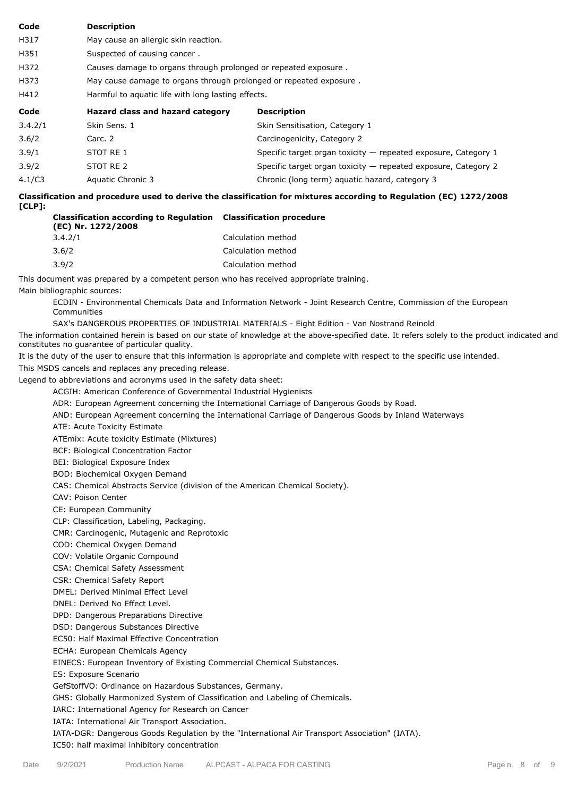## **Code Description**

- H317 May cause an allergic skin reaction.
- H351 Suspected of causing cancer.
- H372 Causes damage to organs through prolonged or repeated exposure .
- H373 May cause damage to organs through prolonged or repeated exposure .
- H412 Harmful to aquatic life with long lasting effects.

| Code    | Hazard class and hazard category | <b>Description</b>                                             |
|---------|----------------------------------|----------------------------------------------------------------|
| 3.4.2/1 | Skin Sens, 1                     | Skin Sensitisation, Category 1                                 |
| 3.6/2   | Carc. 2                          | Carcinogenicity, Category 2                                    |
| 3.9/1   | STOT RE 1                        | Specific target organ toxicity – repeated exposure, Category 1 |
| 3.9/2   | STOT RE 2                        | Specific target organ toxicity - repeated exposure, Category 2 |
| 4.1/C3  | Aquatic Chronic 3                | Chronic (long term) aquatic hazard, category 3                 |

**Classification and procedure used to derive the classification for mixtures according to Regulation (EC) 1272/2008 [CLP]: Classification procedure**

| <b>Classification according to Regulation Classification proce</b><br>(EC) Nr. 1272/2008 |                    |
|------------------------------------------------------------------------------------------|--------------------|
| 3.4.2/1                                                                                  | Calculation method |
| 3.6/2                                                                                    | Calculation method |
| 3.9/2                                                                                    | Calculation method |

This document was prepared by a competent person who has received appropriate training.

Main bibliographic sources:

ECDIN - Environmental Chemicals Data and Information Network - Joint Research Centre, Commission of the European Communities

SAX's DANGEROUS PROPERTIES OF INDUSTRIAL MATERIALS - Eight Edition - Van Nostrand Reinold

The information contained herein is based on our state of knowledge at the above-specified date. It refers solely to the product indicated and constitutes no guarantee of particular quality.

It is the duty of the user to ensure that this information is appropriate and complete with respect to the specific use intended.

This MSDS cancels and replaces any preceding release.

Legend to abbreviations and acronyms used in the safety data sheet:

ACGIH: American Conference of Governmental Industrial Hygienists

ADR: European Agreement concerning the International Carriage of Dangerous Goods by Road.

AND: European Agreement concerning the International Carriage of Dangerous Goods by Inland Waterways

ATE: Acute Toxicity Estimate

ATEmix: Acute toxicity Estimate (Mixtures)

BCF: Biological Concentration Factor

BEI: Biological Exposure Index

BOD: Biochemical Oxygen Demand

CAS: Chemical Abstracts Service (division of the American Chemical Society).

CAV: Poison Center

CE: European Community

CLP: Classification, Labeling, Packaging.

CMR: Carcinogenic, Mutagenic and Reprotoxic

COD: Chemical Oxygen Demand

COV: Volatile Organic Compound

CSA: Chemical Safety Assessment

CSR: Chemical Safety Report

DMEL: Derived Minimal Effect Level

DNEL: Derived No Effect Level.

DPD: Dangerous Preparations Directive

DSD: Dangerous Substances Directive

EC50: Half Maximal Effective Concentration

ECHA: European Chemicals Agency

EINECS: European Inventory of Existing Commercial Chemical Substances.

ES: Exposure Scenario

GefStoffVO: Ordinance on Hazardous Substances, Germany.

GHS: Globally Harmonized System of Classification and Labeling of Chemicals.

IARC: International Agency for Research on Cancer

IATA: International Air Transport Association.

IATA-DGR: Dangerous Goods Regulation by the "International Air Transport Association" (IATA).

IC50: half maximal inhibitory concentration